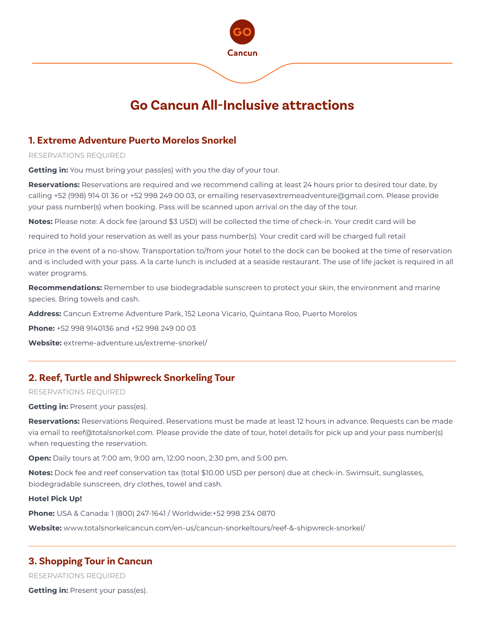

## **1. Extreme Adventure Puerto Morelos Snorkel**

RESERVATIONS REQUIRED

**Getting in:** You must bring your pass(es) with you the day of your tour.

**Reservations:** Reservations are required and we recommend calling at least 24 hours prior to desired tour date, by calling +52 (998) 914 01 36 or +52 998 249 00 03, or emailing reservasextremeadventure@gmail.com. Please provide your pass number(s) when booking. Pass will be scanned upon arrival on the day of the tour.

**Notes:** Please note: A dock fee (around \$3 USD) will be collected the time of check-in. Your credit card will be

required to hold your reservation as well as your pass number(s). Your credit card will be charged full retail

price in the event of a no-show. Transportation to/from your hotel to the dock can be booked at the time of reservation and is included with your pass. A la carte lunch is included at a seaside restaurant. The use of life jacket is required in all water programs.

**Recommendations:** Remember to use biodegradable sunscreen to protect your skin, the environment and marine species. Bring towels and cash.

**Address:** Cancun Extreme Adventure Park, 152 Leona Vicario, Quintana Roo, Puerto Morelos

**Phone:** +52 998 9140136 and +52 998 249 00 03

**Website:** extreme-adventure.us/extreme-snorkel/

# **2. Reef, Turtle and Shipwreck Snorkeling Tour**

#### RESERVATIONS REQUIRED

**Getting in: Present your pass(es).** 

**Reservations:** Reservations Required. Reservations must be made at least 12 hours in advance. Requests can be made via email to reef@totalsnorkel.com. Please provide the date of tour, hotel details for pick up and your pass number(s) when requesting the reservation.

**Open:** Daily tours at 7:00 am, 9:00 am, 12:00 noon, 2:30 pm, and 5:00 pm.

**Notes:** Dock fee and reef conservation tax (total \$10.00 USD per person) due at check-in. Swimsuit, sunglasses, biodegradable sunscreen, dry clothes, towel and cash.

#### **Hotel Pick Up!**

**Phone:** USA & Canada: 1 (800) 247-1641 / Worldwide:+52 998 234 0870

**Website:** www.totalsnorkelcancun.com/en-us/cancun-snorkeltours/reef-&-shipwreck-snorkel/

### **3. Shopping Tour in Cancun**

RESERVATIONS REQUIRED

**Getting in: Present your pass(es).**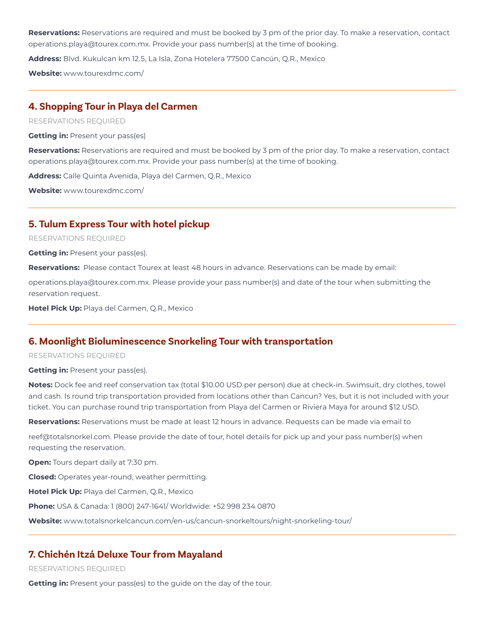**Reservations:** Reservations are required and must be booked by 3 pm of the prior day. To make a reservation, contact operations.playa@tourex.com.mx. Provide your pass number(s) at the time of booking.

**Address:** Blvd. Kukulcan km 12.5, La Isla, Zona Hotelera 77500 Cancún, Q.R., Mexico

**Website:** www.tourexdmc.com/

### **4. Shopping Tour in Playa del Carmen**

RESERVATIONS REQUIRED

**Getting in: Present your pass(es)** 

**Reservations:** Reservations are required and must be booked by 3 pm of the prior day. To make a reservation, contact operations.playa@tourex.com.mx. Provide your pass number(s) at the time of booking.

**Address:** Calle Quinta Avenida, Playa del Carmen, Q.R., Mexico

**Website:** www.tourexdmc.com/

## **5. Tulum Express Tour with hotel pickup**

#### RESERVATIONS REQUIRED

**Getting in: Present your pass(es).** 

**Reservations:** Please contact Tourex at least 48 hours in advance. Reservations can be made by email:

operations.playa@tourex.com.mx. Please provide your pass number(s) and date of the tour when submitting the reservation request.

**Hotel Pick Up:** Playa del Carmen, Q.R., Mexico

## **6. Moonlight Bioluminescence Snorkeling Tour with transportation**

#### RESERVATIONS REQUIRED

**Getting in: Present your pass(es).** 

**Notes:** Dock fee and reef conservation tax (total \$10.00 USD per person) due at check-in. Swimsuit, dry clothes, towel and cash. Is round trip transportation provided from locations other than Cancun? Yes, but it is not included with your ticket. You can purchase round trip transportation from Playa del Carmen or Riviera Maya for around \$12 USD.

**Reservations:** Reservations must be made at least 12 hours in advance. Requests can be made via email to

reef@totalsnorkel.com. Please provide the date of tour, hotel details for pick up and your pass number(s) when requesting the reservation.

**Open:** Tours depart daily at 7:30 pm.

**Closed:** Operates year-round, weather permitting.

**Hotel Pick Up:** Playa del Carmen, Q.R., Mexico

**Phone:** USA & Canada: 1 (800) 247-1641/ Worldwide: +52 998 234 0870

**Website:** www.totalsnorkelcancun.com/en-us/cancun-snorkeltours/night-snorkeling-tour/

## **7. Chichén Itzá Deluxe Tour from Mayaland**

RESERVATIONS REQUIRED

**Getting in:** Present your pass(es) to the guide on the day of the tour.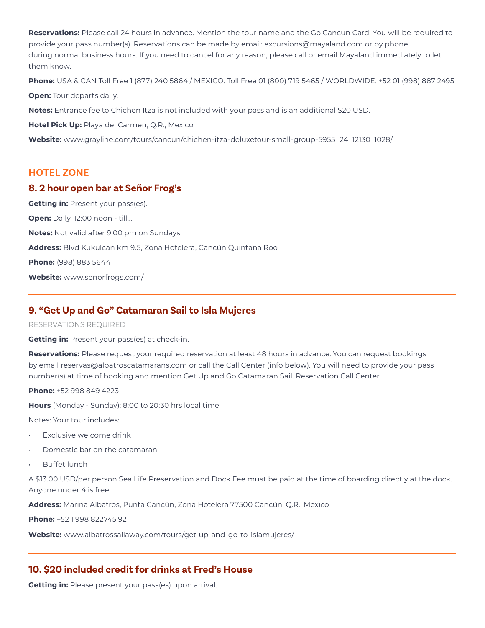**Reservations:** Please call 24 hours in advance. Mention the tour name and the Go Cancun Card. You will be required to provide your pass number(s). Reservations can be made by email: excursions@mayaland.com or by phone during normal business hours. If you need to cancel for any reason, please call or email Mayaland immediately to let them know.

**Phone:** USA & CAN Toll Free 1 (877) 240 5864 / MEXICO: Toll Free 01 (800) 719 5465 / WORLDWIDE: +52 01 (998) 887 2495

**Open:** Tour departs daily.

**Notes:** Entrance fee to Chichen Itza is not included with your pass and is an additional \$20 USD.

**Hotel Pick Up:** Playa del Carmen, Q.R., Mexico

**Website:** www.grayline.com/tours/cancun/chichen-itza-deluxetour-small-group-5955\_24\_12130\_1028/

## **HOTEL ZONE**

## **8. 2 hour open bar at Señor Frog's**

**Getting in: Present your pass(es). Open:** Daily, 12:00 noon - till... **Notes:** Not valid after 9:00 pm on Sundays. **Address:** Blvd Kukulcan km 9.5, Zona Hotelera, Cancún Quintana Roo **Phone:** (998) 883 5644 **Website:** www.senorfrogs.com/

# **9. "Get Up and Go" Catamaran Sail to Isla Mujeres**

### RESERVATIONS REQUIRED

**Getting in:** Present your pass(es) at check-in.

**Reservations:** Please request your required reservation at least 48 hours in advance. You can request bookings by email reservas@albatroscatamarans.com or call the Call Center (info below). You will need to provide your pass number(s) at time of booking and mention Get Up and Go Catamaran Sail. Reservation Call Center

**Phone:** +52 998 849 4223

**Hours** (Monday - Sunday): 8:00 to 20:30 hrs local time

Notes: Your tour includes:

- Exclusive welcome drink
- Domestic bar on the catamaran
- **Buffet lunch**

A \$13.00 USD/per person Sea Life Preservation and Dock Fee must be paid at the time of boarding directly at the dock. Anyone under 4 is free.

**Address:** Marina Albatros, Punta Cancún, Zona Hotelera 77500 Cancún, Q.R., Mexico

**Phone:** +52 1 998 822745 92

**Website:** www.albatrossailaway.com/tours/get-up-and-go-to-islamujeres/

# **10. \$20 included credit for drinks at Fred's House**

**Getting in:** Please present your pass(es) upon arrival.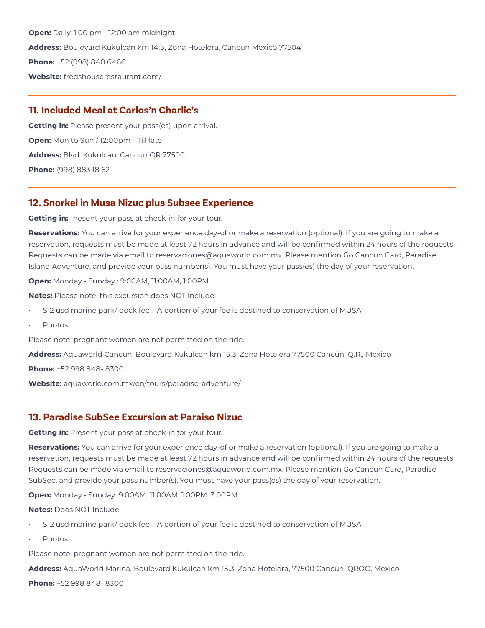**Open:** Daily, 1:00 pm - 12:00 am midnight **Address:** Boulevard Kukulcan km 14.5, Zona Hotelera, Cancun Mexico 77504 **Phone:** +52 (998) 840 6466 **Website:** fredshouserestaurant.com/

# **11. Included Meal at Carlos'n Charlie's**

**Getting in:** Please present your pass(es) upon arrival. **Open:** Mon to Sun / 12:00pm - Till late **Address:** Blvd. Kukulcan, Cancun QR 77500 **Phone:** (998) 883 18 62

## **12. Snorkel in Musa Nizuc plus Subsee Experience**

**Getting in:** Present your pass at check-in for your tour.

**Reservations:** You can arrive for your experience day-of or make a reservation (optional). If you are going to make a reservation, requests must be made at least 72 hours in advance and will be confirmed within 24 hours of the requests. Requests can be made via email to reservaciones@aquaworld.com.mx. Please mention Go Cancun Card, Paradise Island Adventure, and provide your pass number(s). You must have your pass(es) the day of your reservation.

**Open:** Monday - Sunday : 9:00AM, 11:00AM, 1:00PM

**Notes:** Please note, this excursion does NOT Include:

- \$12 usd marine park/ dock fee A portion of your fee is destined to conservation of MUSA
- Photos

Please note, pregnant women are not permitted on the ride.

**Address:** Aquaworld Cancun, Boulevard Kukulcan km 15.3, Zona Hotelera 77500 Cancún, Q.R., Mexico

**Phone:** +52 998 848- 8300

**Website:** aquaworld.com.mx/en/tours/paradise-adventure/

## **13. Paradise SubSee Excursion at Paraiso Nizuc**

**Getting in:** Present your pass at check-in for your tour.

**Reservations:** You can arrive for your experience day-of or make a reservation (optional). If you are going to make a reservation, requests must be made at least 72 hours in advance and will be confirmed within 24 hours of the requests. Requests can be made via email to reservaciones@aquaworld.com.mx. Please mention Go Cancun Card, Paradise SubSee, and provide your pass number(s). You must have your pass(es) the day of your reservation.

**Open:** Monday - Sunday: 9:00AM, 11:00AM, 1:00PM, 3:00PM

**Notes:** Does NOT Include:

- \$12 usd marine park/ dock fee A portion of your fee is destined to conservation of MUSA
- Photos

Please note, pregnant women are not permitted on the ride.

**Address:** AquaWorld Marina, Boulevard Kukulcan km 15.3, Zona Hotelera, 77500 Cancún, QROO, Mexico

**Phone:** +52 998 848- 8300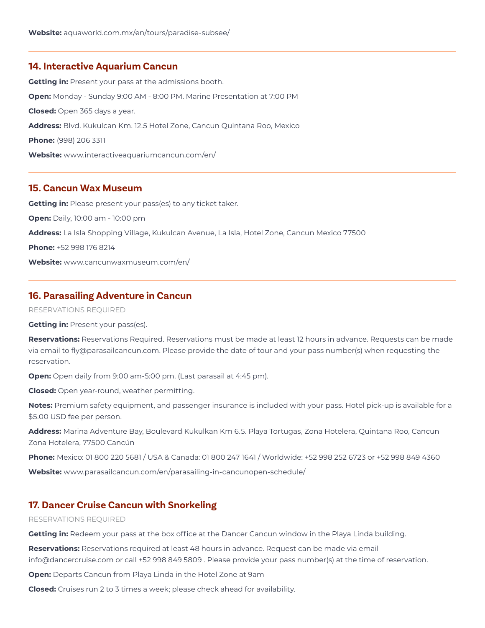### **14. Interactive Aquarium Cancun**

**Getting in:** Present your pass at the admissions booth. **Open:** Monday - Sunday 9:00 AM - 8:00 PM. Marine Presentation at 7:00 PM **Closed:** Open 365 days a year. **Address:** Blvd. Kukulcan Km. 12.5 Hotel Zone, Cancun Quintana Roo, Mexico **Phone:** (998) 206 3311 **Website:** www.interactiveaquariumcancun.com/en/

## **15. Cancun Wax Museum**

**Getting in:** Please present your pass(es) to any ticket taker. **Open:** Daily, 10:00 am - 10:00 pm **Address:** La Isla Shopping Village, Kukulcan Avenue, La Isla, Hotel Zone, Cancun Mexico 77500 **Phone:** +52 998 176 8214 **Website:** www.cancunwaxmuseum.com/en/

## **16. Parasailing Adventure in Cancun**

RESERVATIONS REQUIRED

**Getting in: Present your pass(es).** 

**Reservations:** Reservations Required. Reservations must be made at least 12 hours in advance. Requests can be made via email to fly@parasailcancun.com. Please provide the date of tour and your pass number(s) when requesting the reservation.

**Open:** Open daily from 9:00 am-5:00 pm. (Last parasail at 4:45 pm).

**Closed:** Open year-round, weather permitting.

**Notes:** Premium safety equipment, and passenger insurance is included with your pass. Hotel pick-up is available for a \$5.00 USD fee per person.

**Address:** Marina Adventure Bay, Boulevard Kukulkan Km 6.5. Playa Tortugas, Zona Hotelera, Quintana Roo, Cancun Zona Hotelera, 77500 Cancún

**Phone:** Mexico: 01 800 220 5681 / USA & Canada: 01 800 247 1641 / Worldwide: +52 998 252 6723 or +52 998 849 4360

**Website:** www.parasailcancun.com/en/parasailing-in-cancunopen-schedule/

## **17. Dancer Cruise Cancun with Snorkeling**

#### RESERVATIONS REQUIRED

**Getting in:** Redeem your pass at the box office at the Dancer Cancun window in the Playa Linda building.

**Reservations:** Reservations required at least 48 hours in advance. Request can be made via email info@dancercruise.com or call +52 998 849 5809 . Please provide your pass number(s) at the time of reservation.

**Open:** Departs Cancun from Playa Linda in the Hotel Zone at 9am

**Closed:** Cruises run 2 to 3 times a week; please check ahead for availability.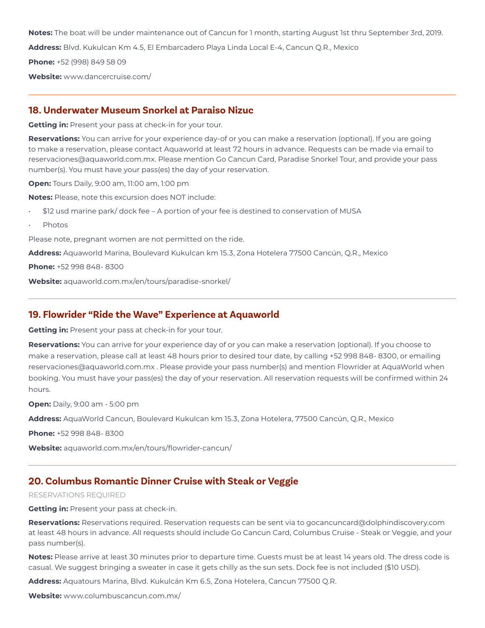**Notes:** The boat will be under maintenance out of Cancun for 1 month, starting August 1st thru September 3rd, 2019.

**Address:** Blvd. Kukulcan Km 4.5, El Embarcadero Playa Linda Local E-4, Cancun Q.R., Mexico

**Phone:** +52 (998) 849 58 09

**Website:** www.dancercruise.com/

## **18. Underwater Museum Snorkel at Paraiso Nizuc**

**Getting in:** Present your pass at check-in for your tour.

**Reservations:** You can arrive for your experience day-of or you can make a reservation (optional). If you are going to make a reservation, please contact Aquaworld at least 72 hours in advance. Requests can be made via email to reservaciones@aquaworld.com.mx. Please mention Go Cancun Card, Paradise Snorkel Tour, and provide your pass number(s). You must have your pass(es) the day of your reservation.

**Open:** Tours Daily, 9:00 am, 11:00 am, 1:00 pm

**Notes:** Please, note this excursion does NOT include:

- \$12 usd marine park/ dock fee A portion of your fee is destined to conservation of MUSA
- Photos

Please note, pregnant women are not permitted on the ride.

**Address:** Aquaworld Marina, Boulevard Kukulcan km 15.3, Zona Hotelera 77500 Cancún, Q.R., Mexico

**Phone:** +52 998 848- 8300

**Website:** aquaworld.com.mx/en/tours/paradise-snorkel/

### **19. Flowrider "Ride the Wave" Experience at Aquaworld**

**Getting in:** Present your pass at check-in for your tour.

**Reservations:** You can arrive for your experience day of or you can make a reservation (optional). If you choose to make a reservation, please call at least 48 hours prior to desired tour date, by calling +52 998 848- 8300, or emailing reservaciones@aquaworld.com.mx . Please provide your pass number(s) and mention Flowrider at AquaWorld when booking. You must have your pass(es) the day of your reservation. All reservation requests will be confirmed within 24 hours.

**Open:** Daily, 9:00 am - 5:00 pm

**Address:** AquaWorld Cancun, Boulevard Kukulcan km 15.3, Zona Hotelera, 77500 Cancún, Q.R., Mexico

**Phone:** +52 998 848- 8300

**Website:** aquaworld.com.mx/en/tours/flowrider-cancun/

## **20. Columbus Romantic Dinner Cruise with Steak or Veggie**

RESERVATIONS REQUIRED

**Getting in:** Present your pass at check-in.

**Reservations:** Reservations required. Reservation requests can be sent via to gocancuncard@dolphindiscovery.com at least 48 hours in advance. All requests should include Go Cancun Card, Columbus Cruise - Steak or Veggie, and your pass number(s).

**Notes:** Please arrive at least 30 minutes prior to departure time. Guests must be at least 14 years old. The dress code is casual. We suggest bringing a sweater in case it gets chilly as the sun sets. Dock fee is not included (\$10 USD).

**Address:** Aquatours Marina, Blvd. Kukulcán Km 6.5, Zona Hotelera, Cancun 77500 Q.R.

**Website:** www.columbuscancun.com.mx/